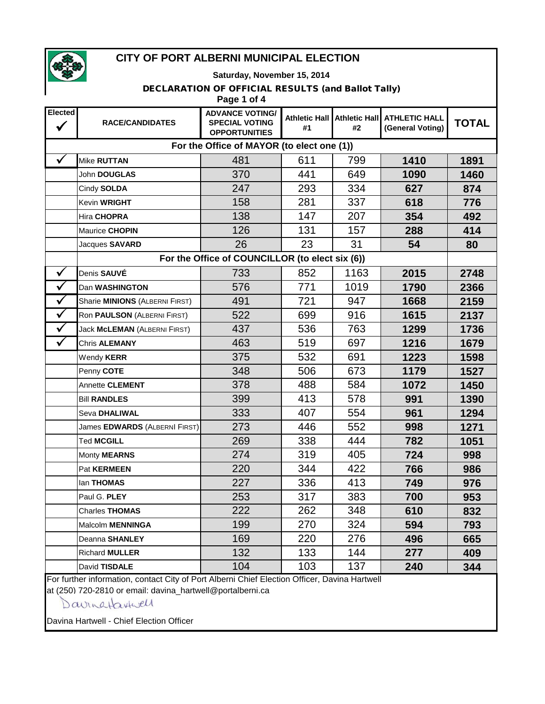

#### **Saturday, November 15, 2014**

#### DECLARATION OF OFFICIAL RESULTS (and Ballot Tally)

|                      | Page 1 of 4                                     |                                                                         |                            |      |                                                 |              |  |  |
|----------------------|-------------------------------------------------|-------------------------------------------------------------------------|----------------------------|------|-------------------------------------------------|--------------|--|--|
| Elected              | <b>RACE/CANDIDATES</b>                          | <b>ADVANCE VOTING/</b><br><b>SPECIAL VOTING</b><br><b>OPPORTUNITIES</b> | <b>Athletic Hall</b><br>#1 | #2   | Athletic Hall ATHLETIC HALL<br>(General Voting) | <b>TOTAL</b> |  |  |
|                      | For the Office of MAYOR (to elect one (1))      |                                                                         |                            |      |                                                 |              |  |  |
|                      | Mike RUTTAN                                     | 481                                                                     | 611                        | 799  | 1410                                            | 1891         |  |  |
|                      | John DOUGLAS                                    | 370                                                                     | 441                        | 649  | 1090                                            | 1460         |  |  |
|                      | Cindy SOLDA                                     | 247                                                                     | 293                        | 334  | 627                                             | 874          |  |  |
|                      | Kevin WRIGHT                                    | 158                                                                     | 281                        | 337  | 618                                             | 776          |  |  |
|                      | Hira CHOPRA                                     | 138                                                                     | 147                        | 207  | 354                                             | 492          |  |  |
|                      | Maurice CHOPIN                                  | 126                                                                     | 131                        | 157  | 288                                             | 414          |  |  |
|                      | Jacques SAVARD                                  | 26                                                                      | 23                         | 31   | 54                                              | 80           |  |  |
|                      | For the Office of COUNCILLOR (to elect six (6)) |                                                                         |                            |      |                                                 |              |  |  |
| $\checkmark$         | Denis SAUVÉ                                     | 733                                                                     | 852                        | 1163 | 2015                                            | 2748         |  |  |
| $\checkmark$         | Dan WASHINGTON                                  | 576                                                                     | 771                        | 1019 | 1790                                            | 2366         |  |  |
| $\checkmark$         | Sharie <b>MINIONS</b> (ALBERNI FIRST)           | 491                                                                     | 721                        | 947  | 1668                                            | 2159         |  |  |
| $\checkmark$         | Ron PAULSON (ALBERNI FIRST)                     | 522                                                                     | 699                        | 916  | 1615                                            | 2137         |  |  |
| $\checkmark$         | Jack McLEMAN (ALBERNI FIRST)                    | 437                                                                     | 536                        | 763  | 1299                                            | 1736         |  |  |
| $\blacktriangledown$ | Chris ALEMANY                                   | 463                                                                     | 519                        | 697  | 1216                                            | 1679         |  |  |
|                      | Wendy KERR                                      | 375                                                                     | 532                        | 691  | 1223                                            | 1598         |  |  |
|                      | Penny COTE                                      | 348                                                                     | 506                        | 673  | 1179                                            | 1527         |  |  |
|                      | Annette CLEMENT                                 | 378                                                                     | 488                        | 584  | 1072                                            | 1450         |  |  |
|                      | <b>Bill RANDLES</b>                             | 399                                                                     | 413                        | 578  | 991                                             | 1390         |  |  |
|                      | Seva DHALIWAL                                   | 333                                                                     | 407                        | 554  | 961                                             | 1294         |  |  |
|                      | James EDWARDS (ALBERNI FIRST)                   | 273                                                                     | 446                        | 552  | 998                                             | 1271         |  |  |
|                      | <b>Ted MCGILL</b>                               | 269                                                                     | 338                        | 444  | 782                                             | 1051         |  |  |
|                      | Monty <b>MEARNS</b>                             | 274                                                                     | 319                        | 405  | 724                                             | 998          |  |  |
|                      | Pat KERMEEN                                     | 220                                                                     | 344                        | 422  | 766                                             | 986          |  |  |
|                      | lan THOMAS                                      | 227                                                                     | 336                        | 413  | 749                                             | 976          |  |  |
|                      | Paul G. PLEY                                    | 253                                                                     | 317                        | 383  | 700                                             | 953          |  |  |
|                      | <b>Charles THOMAS</b>                           | 222                                                                     | 262                        | 348  | 610                                             | 832          |  |  |
|                      | Malcolm MENNINGA                                | 199                                                                     | 270                        | 324  | 594                                             | 793          |  |  |
|                      | Deanna SHANLEY                                  | 169                                                                     | 220                        | 276  | 496                                             | 665          |  |  |
|                      | <b>Richard MULLER</b>                           | 132                                                                     | 133                        | 144  | 277                                             | 409          |  |  |
|                      | David TISDALE                                   | 104                                                                     | 103                        | 137  | 240                                             | 344          |  |  |

For further information, contact City of Port Alberni Chief Election Officer, Davina Hartwell

at (250) 720-2810 or email: davina\_hartwell@portalberni.ca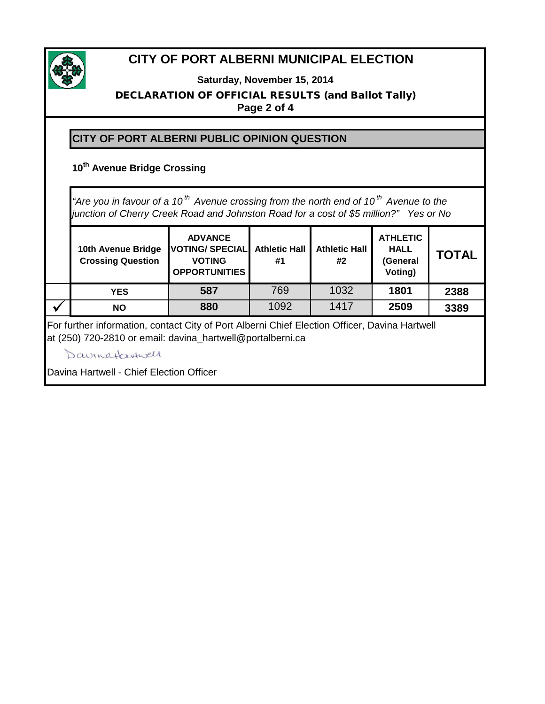

**Saturday, November 15, 2014**

#### DECLARATION OF OFFICIAL RESULTS (and Ballot Tally) **Page 2 of 4**

### **CITY OF PORT ALBERNI PUBLIC OPINION QUESTION**

### **10th Avenue Bridge Crossing**

**10th Avenue Bridge ADVANCE VOTING/ SPECIAL Athletic Hall Athletic Hall ATHLETIC HALL**  *"Are you in favour of a 10 th Avenue crossing from the north end of 10 th Avenue to the junction of Cherry Creek Road and Johnston Road for a cost of \$5 million?" Yes or No*

|   | TULIT AVEITUE DITUYE<br><b>Crossing Question</b> | $\overline{1}$ . The second $\overline{1}$ and $\overline{1}$ and $\overline{1}$ and $\overline{1}$ and $\overline{1}$<br><b>VOTING</b><br><b>OPPORTUNITIES</b> | #1   | #2   | пац.<br>(General<br>Voting) | <b>TOTAL</b> |
|---|--------------------------------------------------|-----------------------------------------------------------------------------------------------------------------------------------------------------------------|------|------|-----------------------------|--------------|
|   | <b>YES</b>                                       | 587                                                                                                                                                             | 769  | 1032 | 1801                        | 2388         |
| w | NΟ                                               | 880                                                                                                                                                             | 1092 | 1417 | 2509                        | 3389         |

For further information, contact City of Port Alberni Chief Election Officer, Davina Hartwell at (250) 720-2810 or email: davina\_hartwell@portalberni.ca

Davinataxturell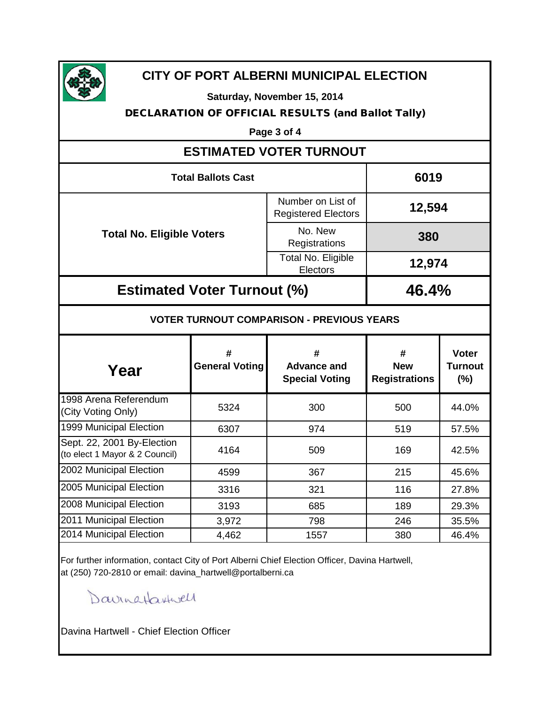

**Saturday, November 15, 2014**

#### DECLARATION OF OFFICIAL RESULTS (and Ballot Tally)

**Page 3 of 4**

# **ESTIMATED VOTER TURNOUT**

| <b>Total Ballots Cast</b>          | 6019                                            |        |
|------------------------------------|-------------------------------------------------|--------|
|                                    | Number on List of<br><b>Registered Electors</b> | 12,594 |
| <b>Total No. Eligible Voters</b>   | No. New<br>Registrations                        | 380    |
|                                    | Total No. Eligible<br>Electors                  | 12,974 |
| <b>Estimated Voter Turnout (%)</b> | 46.4%                                           |        |

#### **VOTER TURNOUT COMPARISON - PREVIOUS YEARS**

| Year                                                         | #<br><b>General Voting</b> | #<br><b>Advance and</b><br><b>Special Voting</b> | #<br><b>New</b><br><b>Registrations</b> | <b>Voter</b><br>Turnout<br>(%) |
|--------------------------------------------------------------|----------------------------|--------------------------------------------------|-----------------------------------------|--------------------------------|
| 1998 Arena Referendum<br>(City Voting Only)                  | 5324                       | 300                                              | 500                                     | 44.0%                          |
| 1999 Municipal Election                                      | 6307                       | 974                                              | 519                                     | 57.5%                          |
| Sept. 22, 2001 By-Election<br>(to elect 1 Mayor & 2 Council) | 4164                       | 509                                              | 169                                     | 42.5%                          |
| 2002 Municipal Election                                      | 4599                       | 367                                              | 215                                     | 45.6%                          |
| 2005 Municipal Election                                      | 3316                       | 321                                              | 116                                     | 27.8%                          |
| 2008 Municipal Election                                      | 3193                       | 685                                              | 189                                     | 29.3%                          |
| 2011 Municipal Election                                      | 3,972                      | 798                                              | 246                                     | 35.5%                          |
| 2014 Municipal Election                                      | 4,462                      | 1557                                             | 380                                     | 46.4%                          |

For further information, contact City of Port Alberni Chief Election Officer, Davina Hartwell, at (250) 720-2810 or email: davina\_hartwell@portalberni.ca

Davingtaxtwell